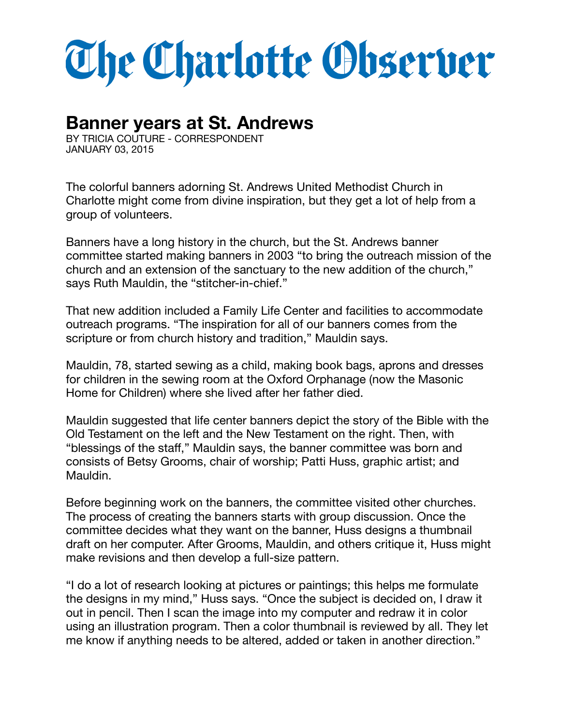## The Charlotte Observer

## **Banner years at St. Andrews**

BY TRICIA COUTURE - CORRESPONDENT JANUARY 03, 2015

The colorful banners adorning St. Andrews United Methodist Church in Charlotte might come from divine inspiration, but they get a lot of help from a group of volunteers.

Banners have a long history in the church, but the St. Andrews banner committee started making banners in 2003 "to bring the outreach mission of the church and an extension of the sanctuary to the new addition of the church," says Ruth Mauldin, the "stitcher-in-chief."

That new addition included a Family Life Center and facilities to accommodate outreach programs. "The inspiration for all of our banners comes from the scripture or from church history and tradition," Mauldin says.

Mauldin, 78, started sewing as a child, making book bags, aprons and dresses for children in the sewing room at the Oxford Orphanage (now the Masonic Home for Children) where she lived after her father died.

Mauldin suggested that life center banners depict the story of the Bible with the Old Testament on the left and the New Testament on the right. Then, with "blessings of the staff," Mauldin says, the banner committee was born and consists of Betsy Grooms, chair of worship; Patti Huss, graphic artist; and Mauldin.

Before beginning work on the banners, the committee visited other churches. The process of creating the banners starts with group discussion. Once the committee decides what they want on the banner, Huss designs a thumbnail draft on her computer. After Grooms, Mauldin, and others critique it, Huss might make revisions and then develop a full-size pattern.

"I do a lot of research looking at pictures or paintings; this helps me formulate the designs in my mind," Huss says. "Once the subject is decided on, I draw it out in pencil. Then I scan the image into my computer and redraw it in color using an illustration program. Then a color thumbnail is reviewed by all. They let me know if anything needs to be altered, added or taken in another direction."